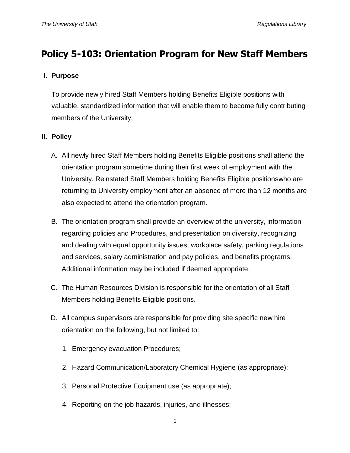# **Policy 5-103: Orientation Program for New Staff Members**

## **I. Purpose**

To provide newly hired Staff Members holding Benefits Eligible positions with valuable, standardized information that will enable them to become fully contributing members of the University.

# **II. Policy**

- A. All newly hired Staff Members holding Benefits Eligible positions shall attend the orientation program sometime during their first week of employment with the University. Reinstated Staff Members holding Benefits Eligible positionswho are returning to University employment after an absence of more than 12 months are also expected to attend the orientation program.
- B. The orientation program shall provide an overview of the university, information regarding policies and Procedures, and presentation on diversity, recognizing and dealing with equal opportunity issues, workplace safety, parking regulations and services, salary administration and pay policies, and benefits programs. Additional information may be included if deemed appropriate.
- C. The Human Resources Division is responsible for the orientation of all Staff Members holding Benefits Eligible positions.
- D. All campus supervisors are responsible for providing site specific new hire orientation on the following, but not limited to:
	- 1. Emergency evacuation Procedures;
	- 2. Hazard Communication/Laboratory Chemical Hygiene (as appropriate);
	- 3. Personal Protective Equipment use (as appropriate);
	- 4. Reporting on the job hazards, injuries, and illnesses;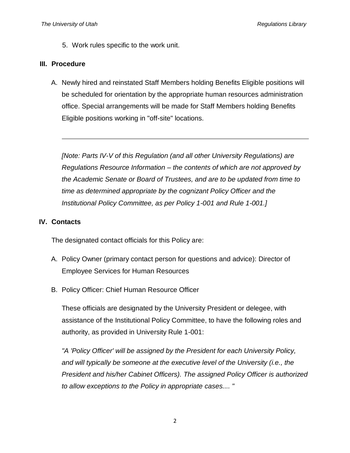5. Work rules specific to the work unit.

#### **III. Procedure**

A. Newly hired and reinstated Staff Members holding Benefits Eligible positions will be scheduled for orientation by the appropriate human resources administration office. Special arrangements will be made for Staff Members holding Benefits Eligible positions working in "off-site" locations.

*[Note: Parts IV-V of this Regulation (and all other University Regulations) are Regulations Resource Information – the contents of which are not approved by the Academic Senate or Board of Trustees, and are to be updated from time to time as determined appropriate by the cognizant Policy Officer and the Institutional Policy Committee, as per Policy 1-001 and Rule 1-001.]*

## **IV. Contacts**

The designated contact officials for this Policy are:

- A. Policy Owner (primary contact person for questions and advice): Director of Employee Services for Human Resources
- B. Policy Officer: Chief Human Resource Officer

These officials are designated by the University President or delegee, with assistance of the Institutional Policy Committee, to have the following roles and authority, as provided in University Rule 1-001:

*"A 'Policy Officer' will be assigned by the President for each University Policy, and will typically be someone at the executive level of the University (i.e., the President and his/her Cabinet Officers). The assigned Policy Officer is authorized to allow exceptions to the Policy in appropriate cases.... "*